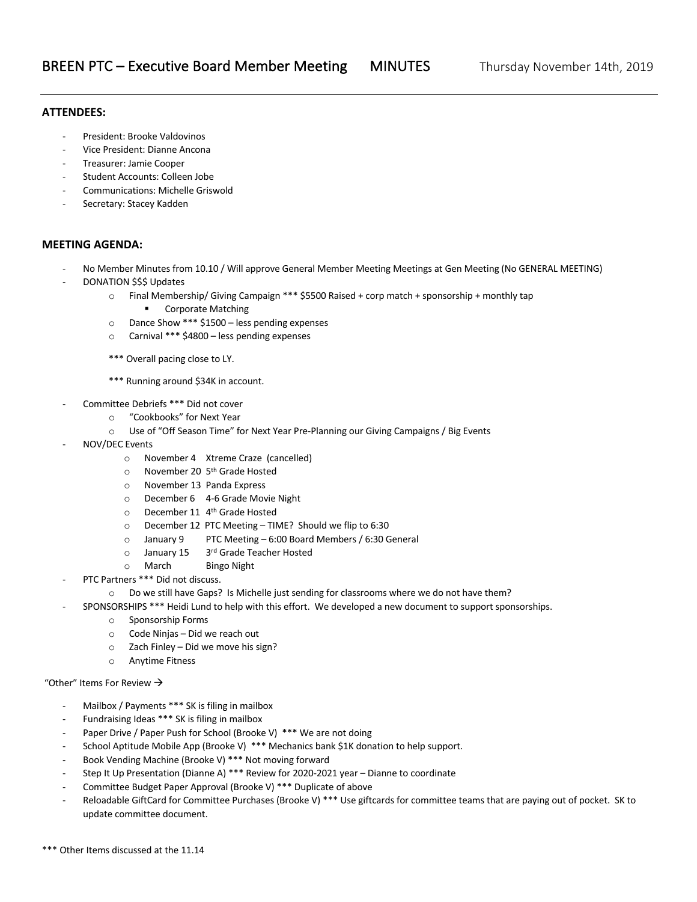## **ATTENDEES:**

- President: Brooke Valdovinos
- Vice President: Dianne Ancona
- Treasurer: Jamie Cooper
- Student Accounts: Colleen Jobe
- Communications: Michelle Griswold
- Secretary: Stacey Kadden

## **MEETING AGENDA:**

- No Member Minutes from 10.10 / Will approve General Member Meeting Meetings at Gen Meeting (No GENERAL MEETING)
- DONATION \$\$\$ Updates
	- o Final Membership/ Giving Campaign \*\*\* \$5500 Raised + corp match + sponsorship + monthly tap
		- Corporate Matching
		- o Dance Show \*\*\* \$1500 less pending expenses
		- o Carnival \*\*\* \$4800 less pending expenses
		- \*\*\* Overall pacing close to LY.
		- \*\*\* Running around \$34K in account.
- Committee Debriefs \*\*\* Did not cover
	- o "Cookbooks" for Next Year
	- o Use of "Off Season Time" for Next Year Pre-Planning our Giving Campaigns / Big Events
- NOV/DEC Events
	- o November 4 Xtreme Craze (cancelled)
	- o November 20 5th Grade Hosted
	- o November 13 Panda Express
	- o December 6 4-6 Grade Movie Night
	- o December 11 4th Grade Hosted
	- o December 12 PTC Meeting TIME? Should we flip to 6:30
	- o January 9 PTC Meeting 6:00 Board Members / 6:30 General
	- o January 15 3rd Grade Teacher Hosted
	- o March Bingo Night
- PTC Partners \*\*\* Did not discuss.
	- o Do we still have Gaps? Is Michelle just sending for classrooms where we do not have them?
- SPONSORSHIPS \*\*\* Heidi Lund to help with this effort. We developed a new document to support sponsorships.
	- o Sponsorship Forms
	- o Code Ninjas Did we reach out
	- o Zach Finley Did we move his sign?
	- o Anytime Fitness

## "Other" Items For Review  $\rightarrow$

- Mailbox / Payments \*\*\* SK is filing in mailbox
- Fundraising Ideas \*\*\* SK is filing in mailbox
- Paper Drive / Paper Push for School (Brooke V) \*\*\* We are not doing
- School Aptitude Mobile App (Brooke V) \*\*\* Mechanics bank \$1K donation to help support.
- Book Vending Machine (Brooke V) \*\*\* Not moving forward
- Step It Up Presentation (Dianne A) \*\*\* Review for 2020-2021 year Dianne to coordinate
- Committee Budget Paper Approval (Brooke V) \*\*\* Duplicate of above
- Reloadable GiftCard for Committee Purchases (Brooke V) \*\*\* Use giftcards for committee teams that are paying out of pocket. SK to update committee document.